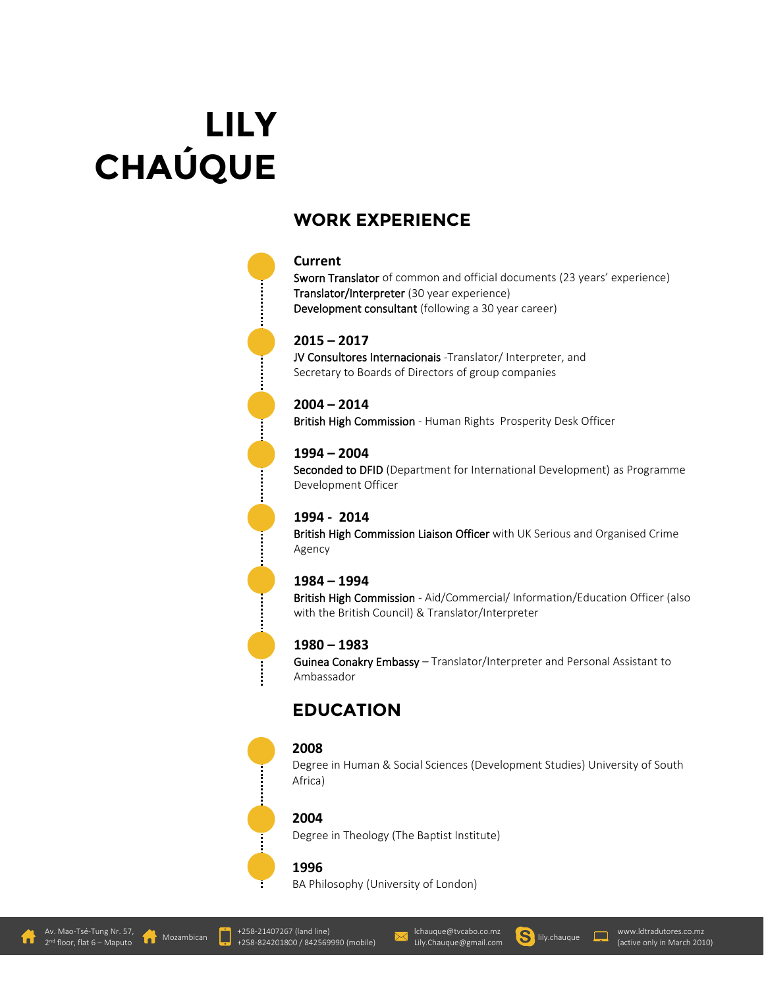# **LILY CHAÚQUE**

# **WORK EXPERIENCE**

### **Current**

Sworn Translator of common and official documents (23 years' experience) Translator/Interpreter (30 year experience) Development consultant (following a 30 year career)

#### **2015 – 2017**

JV Consultores Internacionais -Translator/ Interpreter, and Secretary to Boards of Directors of group companies

**2004 – 2014** British High Commission - Human Rights Prosperity Desk Officer

### **1994 – 2004**

Seconded to DFID (Department for International Development) as Programme Development Officer

### **1994 - 2014**

British High Commission Liaison Officer with UK Serious and Organised Crime Agency

### **1984 – 1994**

British High Commission - Aid/Commercial/ Information/Education Officer (also with the British Council) & Translator/Interpreter

### **1980 – 1983**

Guinea Conakry Embassy – Translator/Interpreter and Personal Assistant to Ambassador

# **EDUCATION**

### **2008**

Degree in Human & Social Sciences (Development Studies) University of South Africa)

### **2004**

Degree in Theology (The Baptist Institute)

### **1996**

BA Philosophy (University of London)



**der** Mozambican

[lchauque@tvcabo.co.mz](mailto:lchauque@tvcabo.co.mz)

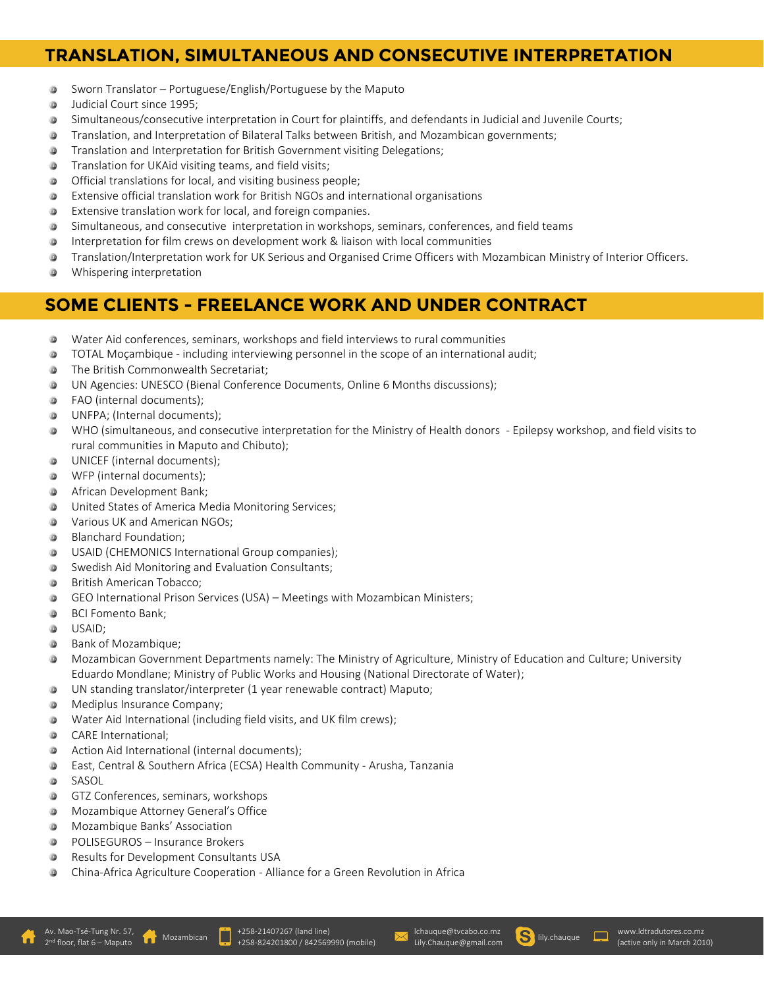# **TRANSLATION, SIMULTANEOUS AND CONSECUTIVE INTERPRETATION**

- $\circledcirc$ Sworn Translator – Portuguese/English/Portuguese by the Maputo
- $\circledcirc$ Judicial Court since 1995;
- Simultaneous/consecutive interpretation in Court for plaintiffs, and defendants in Judicial and Juvenile Courts; ⋓
- Translation, and Interpretation of Bilateral Talks between British, and Mozambican governments;  $\circledR$
- $\circledcirc$ Translation and Interpretation for British Government visiting Delegations;
- Translation for UKAid visiting teams, and field visits; 0
- Official translations for local, and visiting business people; ⋓
- **®** Extensive official translation work for British NGOs and international organisations
- $\circledcirc$ Extensive translation work for local, and foreign companies.
- Simultaneous, and consecutive interpretation in workshops, seminars, conferences, and field teams  $\circledcirc$
- Interpretation for film crews on development work & liaison with local communities **®**
- Translation/Interpretation work for UK Serious and Organised Crime Officers with Mozambican Ministry of Interior Officers.
- 0 Whispering interpretation

# **SOME CLIENTS - FREELANCE WORK AND UNDER CONTRACT**

- Water Aid conferences, seminars, workshops and field interviews to rural communities
- TOTAL Moçambique including interviewing personnel in the scope of an international audit; **®**
- 0 The British Commonwealth Secretariat;
- $\circledcirc$ UN Agencies: UNESCO (Bienal Conference Documents, Online 6 Months discussions);
- **®** FAO (internal documents);
- ⊕ UNFPA; (Internal documents);
- $\circledcirc$ WHO (simultaneous, and consecutive interpretation for the Ministry of Health donors - Epilepsy workshop, and field visits to rural communities in Maputo and Chibuto);
- UNICEF (internal documents);
- WFP (internal documents); ⊚
- 0 African Development Bank;
- $\circledcirc$ United States of America Media Monitoring Services;
- $\circledR$ Various UK and American NGOs;
- Blanchard Foundation;  $\circledcirc$
- USAID (CHEMONICS International Group companies); ◉
- $\circledR$ Swedish Aid Monitoring and Evaluation Consultants;
- 0 British American Tobacco;
- GEO International Prison Services (USA) Meetings with Mozambican Ministers; ⊚
- $\circledcirc$ BCI Fomento Bank;
- ◉ USAID;
- $\circledcirc$ Bank of Mozambique;
- $\circledcirc$ Mozambican Government Departments namely: The Ministry of Agriculture, Ministry of Education and Culture; University Eduardo Mondlane; Ministry of Public Works and Housing (National Directorate of Water);
- UN standing translator/interpreter (1 year renewable contract) Maputo;
- 0 Mediplus Insurance Company;
- Water Aid International (including field visits, and UK film crews);
- $\circledcirc$ CARE International;
- ⊚ Action Aid International (internal documents);
- East, Central & Southern Africa (ECSA) Health Community Arusha, Tanzania  $\circledR$
- $\circledR$ SASOL
- GTZ Conferences, seminars, workshops
- Mozambique Attorney General's Office  $\circledR$
- Mozambique Banks' Association
- $\circledR$ POLISEGUROS – Insurance Brokers
- $\circledcirc$ Results for Development Consultants USA
- China-Africa Agriculture Cooperation Alliance for a Green Revolution in Africa ⊚



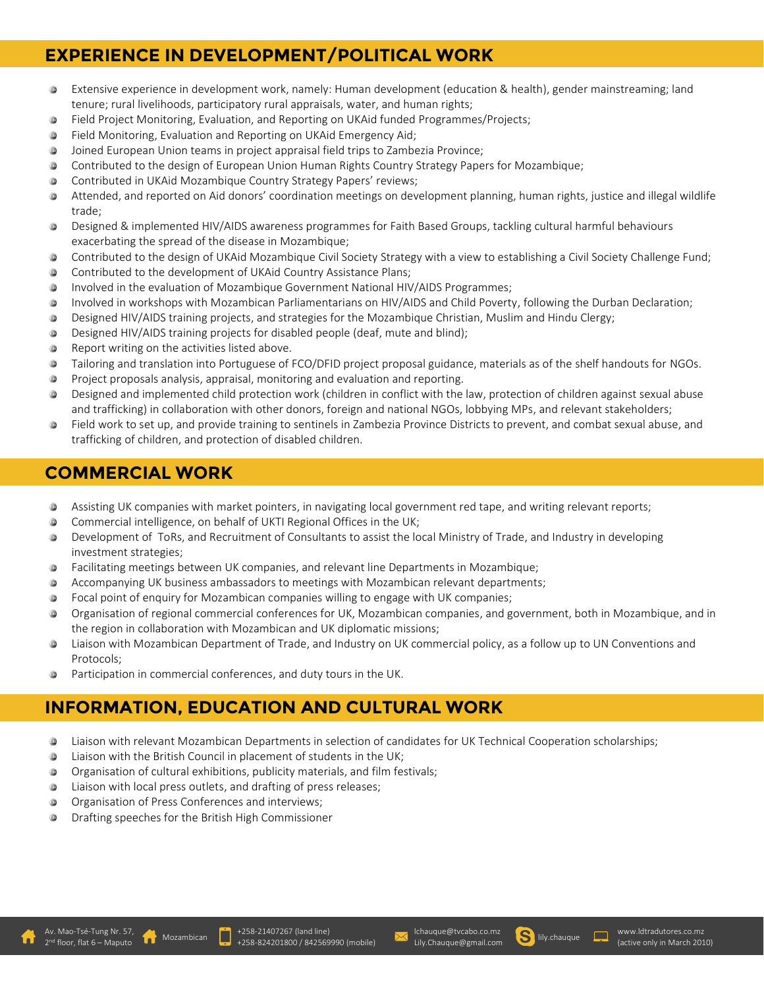# **EXPERIENCE IN DEVELOPMENT/POLITICAL WORK**

- $\circledcirc$ Extensive experience in development work, namely: Human development (education & health), gender mainstreaming; land tenure; rural livelihoods, participatory rural appraisals, water, and human rights;
- Field Project Monitoring, Evaluation, and Reporting on UKAid funded Programmes/Projects;  $\circledR$
- $\circledR$ Field Monitoring, Evaluation and Reporting on UKAid Emergency Aid;
- $\circledcirc$ Joined European Union teams in project appraisal field trips to Zambezia Province;
- Contributed to the design of European Union Human Rights Country Strategy Papers for Mozambique; 0
- Contributed in UKAid Mozambique Country Strategy Papers' reviews; ⊚
- Attended, and reported on Aid donors' coordination meetings on development planning, human rights, justice and illegal wildlife trade;
- Designed & implemented HIV/AIDS awareness programmes for Faith Based Groups, tackling cultural harmful behaviours ⊚ exacerbating the spread of the disease in Mozambique;
- Contributed to the design of UKAid Mozambique Civil Society Strategy with a view to establishing a Civil Society Challenge Fund;
- Contributed to the development of UKAid Country Assistance Plans;  $\circledcirc$
- Involved in the evaluation of Mozambique Government National HIV/AIDS Programmes; 0
- $\circledcirc$ Involved in workshops with Mozambican Parliamentarians on HIV/AIDS and Child Poverty, following the Durban Declaration;
- $\circledcirc$ Designed HIV/AIDS training projects, and strategies for the Mozambique Christian, Muslim and Hindu Clergy;
- Designed HIV/AIDS training projects for disabled people (deaf, mute and blind);  $\circledcirc$
- $\circledcirc$ Report writing on the activities listed above.
- $\circledR$ Tailoring and translation into Portuguese of FCO/DFID project proposal guidance, materials as of the shelf handouts for NGOs.
- Project proposals analysis, appraisal, monitoring and evaluation and reporting.
- Designed and implemented child protection work (children in conflict with the law, protection of children against sexual abuse 0 and trafficking) in collaboration with other donors, foreign and national NGOs, lobbying MPs, and relevant stakeholders;
- Field work to set up, and provide training to sentinels in Zambezia Province Districts to prevent, and combat sexual abuse, and **®** trafficking of children, and protection of disabled children.

# **COMMERCIAL WORK**

- $\circledcirc$ Assisting UK companies with market pointers, in navigating local government red tape, and writing relevant reports;
- $\circledR$ Commercial intelligence, on behalf of UKTI Regional Offices in the UK;

l

- Development of ToRs, and Recruitment of Consultants to assist the local Ministry of Trade, and Industry in developing  $\circledcirc$ investment strategies;
- $\circledR$ Facilitating meetings between UK companies, and relevant line Departments in Mozambique;
- 0 Accompanying UK business ambassadors to meetings with Mozambican relevant departments;
- Focal point of enquiry for Mozambican companies willing to engage with UK companies; ⋓
- Organisation of regional commercial conferences for UK, Mozambican companies, and government, both in Mozambique, and in the region in collaboration with Mozambican and UK diplomatic missions;
- Liaison with Mozambican Department of Trade, and Industry on UK commercial policy, as a follow up to UN Conventions and ⋓ Protocols;
- Participation in commercial conferences, and duty tours in the UK.

# **INFORMATION, EDUCATION AND CULTURAL WORK**

- Liaison with relevant Mozambican Departments in selection of candidates for UK Technical Cooperation scholarships; 0
- Liaison with the British Council in placement of students in the UK;
- Organisation of cultural exhibitions, publicity materials, and film festivals;
- 0 Liaison with local press outlets, and drafting of press releases;
- $\circledcirc$ Organisation of Press Conferences and interviews;
- $\circledcirc$ Drafting speeches for the British High Commissioner





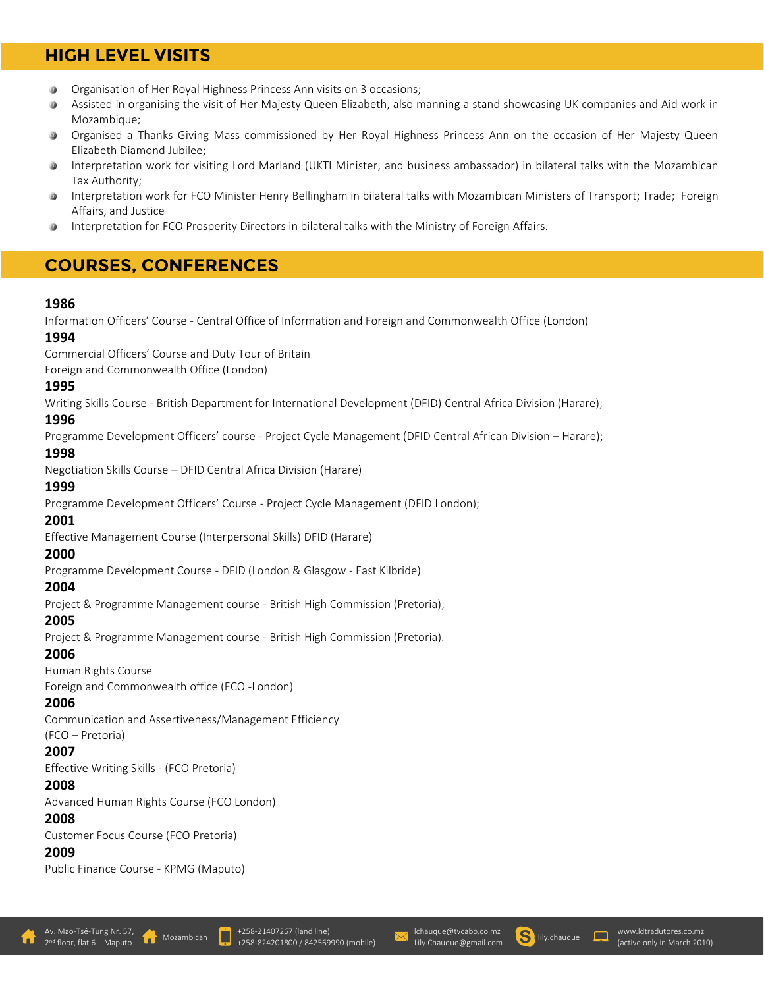# **HIGH LEVEL VISITS**

- $\circledR$ Organisation of Her Royal Highness Princess Ann visits on 3 occasions;
- Assisted in organising the visit of Her Majesty Queen Elizabeth, also manning a stand showcasing UK companies and Aid work in  $\circledcirc$ Mozambique;
- $\circledR$ Organised a Thanks Giving Mass commissioned by Her Royal Highness Princess Ann on the occasion of Her Majesty Queen Elizabeth Diamond Jubilee;
- Interpretation work for visiting Lord Marland (UKTI Minister, and business ambassador) in bilateral talks with the Mozambican Tax Authority;
- **®** Interpretation work for FCO Minister Henry Bellingham in bilateral talks with Mozambican Ministers of Transport; Trade; Foreign Affairs, and Justice
- Interpretation for FCO Prosperity Directors in bilateral talks with the Ministry of Foreign Affairs. ⋓

# **COURSES, CONFERENCES**

### **1986**

Information Officers' Course - Central Office of Information and Foreign and Commonwealth Office (London)

### **1994**

Commercial Officers' Course and Duty Tour of Britain

Foreign and Commonwealth Office (London)

### **1995**

Writing Skills Course - British Department for International Development (DFID) Central Africa Division (Harare);

### **1996**

Programme Development Officers' course - Project Cycle Management (DFID Central African Division – Harare);

### **1998**

Negotiation Skills Course – DFID Central Africa Division (Harare)

# **1999**

Programme Development Officers' Course - Project Cycle Management (DFID London);

### **2001**

Effective Management Course (Interpersonal Skills) DFID (Harare)

### **2000**

Programme Development Course - DFID (London & Glasgow - East Kilbride)

### **2004**

Project & Programme Management course - British High Commission (Pretoria);

### **2005**

Project & Programme Management course - British High Commission (Pretoria).

### **2006**

Human Rights Course

Foreign and Commonwealth office (FCO -London)

### **2006**

Communication and Assertiveness/Management Efficiency

### (FCO – Pretoria)

### **2007**

Effective Writing Skills - (FCO Pretoria)

### **2008**

Advanced Human Rights Course (FCO London)

### **2008**

Customer Focus Course (FCO Pretoria)

### **2009**

Public Finance Course - KPMG (Maputo)